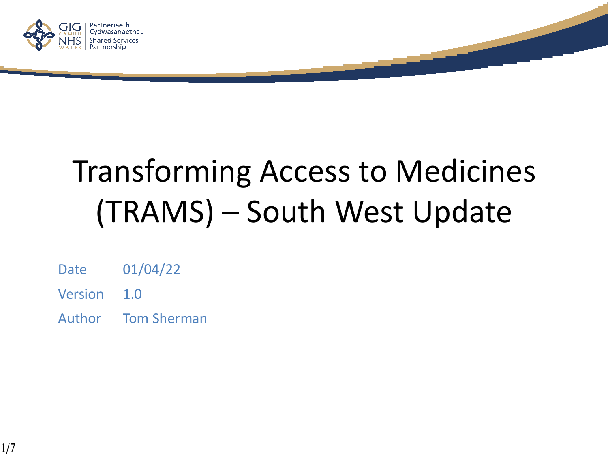

# Transforming Access to Medicines (TRAMS) – South West Update

- Date 01/04/22
- Version 1.0
- Author Tom Sherman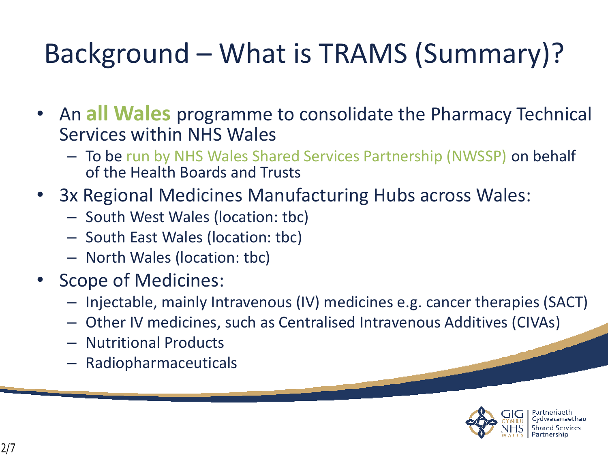## Background – What is TRAMS (Summary)?

- An **all Wales** programme to consolidate the Pharmacy Technical Services within NHS Wales
	- To be run by NHS Wales Shared Services Partnership (NWSSP) on behalf of the Health Boards and Trusts
- 3x Regional Medicines Manufacturing Hubs across Wales:
	- South West Wales (location: tbc)
	- South East Wales (location: tbc)
	- North Wales (location: tbc)
- Scope of Medicines:
	- Injectable, mainly Intravenous (IV) medicines e.g. cancer therapies (SACT)
	- Other IV medicines, such as Centralised Intravenous Additives (CIVAs)
	- Nutritional Products
	- Radiopharmaceuticals

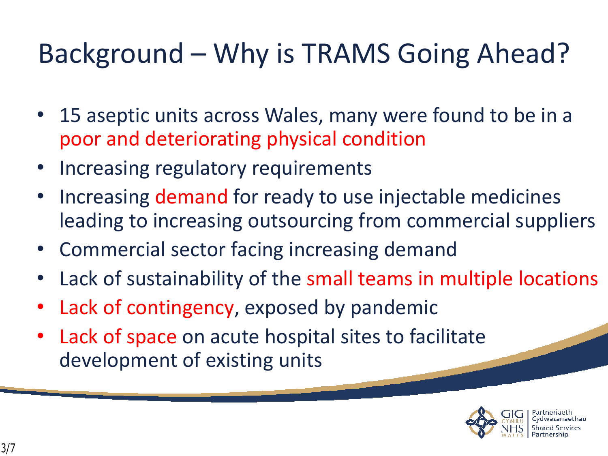### Background – Why is TRAMS Going Ahead?

- 15 aseptic units across Wales, many were found to be in a poor and deteriorating physical condition
- Increasing regulatory requirements
- Increasing demand for ready to use injectable medicines leading to increasing outsourcing from commercial suppliers
- Commercial sector facing increasing demand
- Lack of sustainability of the small teams in multiple locations
- Lack of contingency, exposed by pandemic
- Lack of space on acute hospital sites to facilitate development of existing units

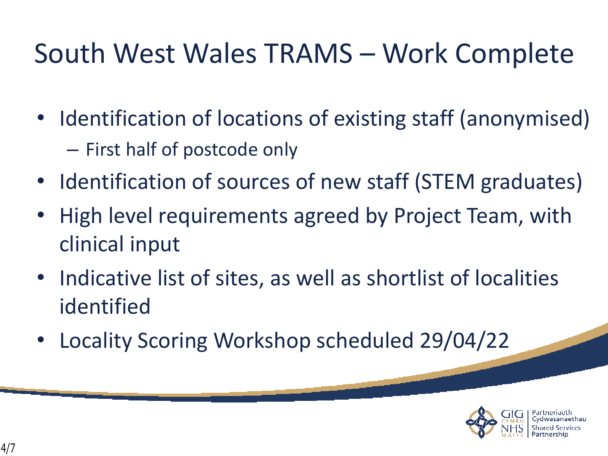#### South West Wales TRAMS – Work Complete

- Identification of locations of existing staff (anonymised) – First half of postcode only
- Identification of sources of new staff (STEM graduates)
- High level requirements agreed by Project Team, with clinical input
- Indicative list of sites, as well as shortlist of localities identified
- Locality Scoring Workshop scheduled 29/04/22

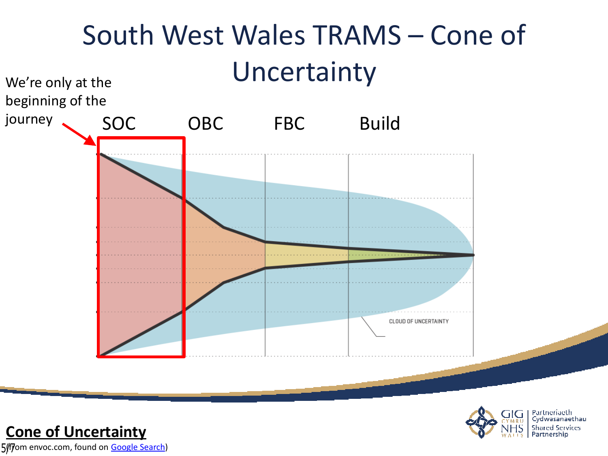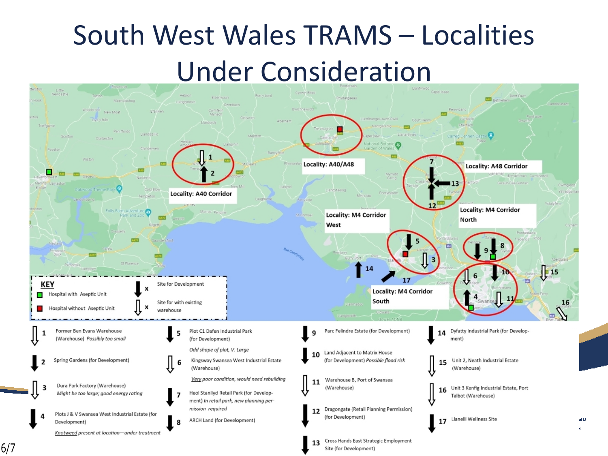## South West Wales TRAMS – Localities Under Consideration



6/7